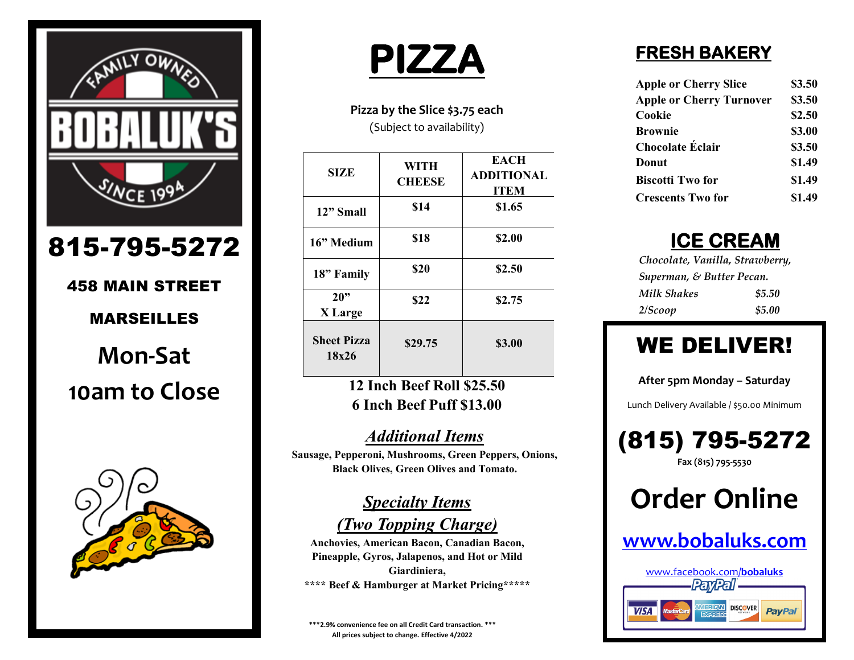

# 815-795-5272

# 458 MAIN STREET

#### MARSEILLES

**Mon-Sat 10am to Close**



# **PIZZA**

**Pizza by the Slice \$3.75 each** (Subject to availability)

| <b>SIZE</b>                 | WITH<br><b>CHEESE</b> | <b>EACH</b><br><b>ADDITIONAL</b><br><b>ITEM</b> |
|-----------------------------|-----------------------|-------------------------------------------------|
| 12" Small                   | \$14                  | \$1.65                                          |
| 16" Medium                  | \$18                  | \$2.00                                          |
| 18" Family                  | \$20                  | \$2.50                                          |
| 20"<br>X Large              | \$22                  | \$2.75                                          |
| <b>Sheet Pizza</b><br>18x26 | \$29.75               | \$3.00                                          |

#### **12 Inch Beef Roll \$25.50 6 Inch Beef Puff \$13.00**

#### *Additional Items*

**Sausage, Pepperoni, Mushrooms, Green Peppers, Onions, Black Olives, Green Olives and Tomato.**

> *Specialty Items (Two Topping Charge)*

**Anchovies, American Bacon, Canadian Bacon, Pineapple, Gyros, Jalapenos, and Hot or Mild Giardiniera, \*\*\*\* Beef & Hamburger at Market Pricing\*\*\*\*\***

**\*\*\*2.9% convenience fee on all Credit Card transaction. \*\*\* All prices subject to change. Effective 4/2022**

## **FRESH BAKERY**

| <b>Apple or Cherry Slice</b>    | \$3.50 |
|---------------------------------|--------|
| <b>Apple or Cherry Turnover</b> | \$3.50 |
| Cookie                          | \$2.50 |
| <b>Brownie</b>                  | \$3.00 |
| <b>Chocolate Éclair</b>         | \$3.50 |
| Donut                           | \$1.49 |
| <b>Biscotti Two for</b>         | \$1.49 |
| <b>Crescents Two for</b>        | \$1.49 |

# **ICE CREAM**

| Chocolate, Vanilla, Strawberry, |        |
|---------------------------------|--------|
| Superman, & Butter Pecan.       |        |
| Milk Shakes                     | \$5.50 |
| 2/Scoop                         | \$5.00 |

# WE DELIVER!

**After 5pm Monday – Saturday**

Lunch Delivery Available / \$50.00 Minimum



# **Order Online**

## **[www.bobaluks.com](http://www.bobaluks.com/)**